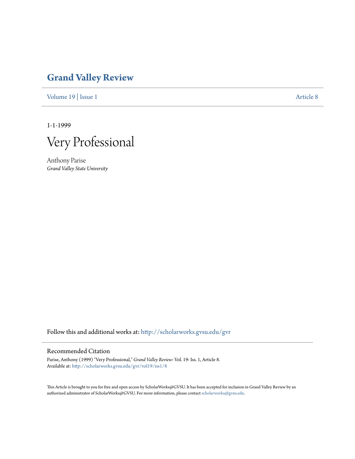## **[Grand Valley Review](http://scholarworks.gvsu.edu/gvr?utm_source=scholarworks.gvsu.edu%2Fgvr%2Fvol19%2Fiss1%2F8&utm_medium=PDF&utm_campaign=PDFCoverPages)**

[Volume 19](http://scholarworks.gvsu.edu/gvr/vol19?utm_source=scholarworks.gvsu.edu%2Fgvr%2Fvol19%2Fiss1%2F8&utm_medium=PDF&utm_campaign=PDFCoverPages) | [Issue 1](http://scholarworks.gvsu.edu/gvr/vol19/iss1?utm_source=scholarworks.gvsu.edu%2Fgvr%2Fvol19%2Fiss1%2F8&utm_medium=PDF&utm_campaign=PDFCoverPages) [Article 8](http://scholarworks.gvsu.edu/gvr/vol19/iss1/8?utm_source=scholarworks.gvsu.edu%2Fgvr%2Fvol19%2Fiss1%2F8&utm_medium=PDF&utm_campaign=PDFCoverPages)

1-1-1999

Very Professional

Anthony Parise *Grand Valley State University*

Follow this and additional works at: [http://scholarworks.gvsu.edu/gvr](http://scholarworks.gvsu.edu/gvr?utm_source=scholarworks.gvsu.edu%2Fgvr%2Fvol19%2Fiss1%2F8&utm_medium=PDF&utm_campaign=PDFCoverPages)

## Recommended Citation

Parise, Anthony (1999) "Very Professional," *Grand Valley Review*: Vol. 19: Iss. 1, Article 8. Available at: [http://scholarworks.gvsu.edu/gvr/vol19/iss1/8](http://scholarworks.gvsu.edu/gvr/vol19/iss1/8?utm_source=scholarworks.gvsu.edu%2Fgvr%2Fvol19%2Fiss1%2F8&utm_medium=PDF&utm_campaign=PDFCoverPages)

This Article is brought to you for free and open access by ScholarWorks@GVSU. It has been accepted for inclusion in Grand Valley Review by an authorized administrator of ScholarWorks@GVSU. For more information, please contact [scholarworks@gvsu.edu.](mailto:scholarworks@gvsu.edu)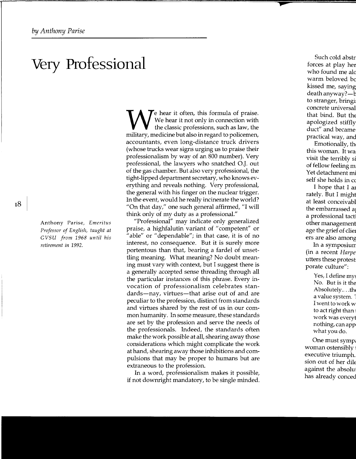## **Very Professional**

Anthony Parise, *Emeritus Professor of English, taught at GVSU from 1968 until his retirement in* 1992.

 $\tau$  hear it often, this formula of praise. We hear it not only in connection with the classic professions, such as law, the military, medicine but also in regard to policemen, accountants, even long-distance truck drivers (whose trucks wear signs urging us to praise their professionalism by way of an 800 number). Very professional, the lawyers who snatched O.J. out of the gas chamber. But also very professional, the tight-lipped department secretary, who knows everything and reveals nothing. Very professional, the general with his finger on the nuclear trigger. In the event, would he really incinerate the world? "On that day," one such general affirmed, "I will think only of my duty as a professional."

"Professional" may indicate only generalized praise, a highfalutin variant of "competent" or "able" or "dependable"; in that case, it is of no interest, no consequence. But it is surely more portentous than that, bearing a fardel of unsettling meaning. What meaning? No doubt meaning must vary with context, but I suggest there is a generally accepted sense threading through all the particular instances of this phrase. Every invocation of professionalism celebrates standards—nay, virtues—that arise out of and are peculiar to the profession, distinct from standards and virtues shared by the rest of us in our common humanity. In some measure, these standards are set by the profession and serve the needs of the professionals. Indeed, the standards often make the work possible at all, shearing away those considerations which might complicate the work at hand, shearing away those inhibitions and compulsions that may be proper to humans but are extraneous to the profession.

In a word, professionalism makes it possible, if not downright mandatory, to be single minded.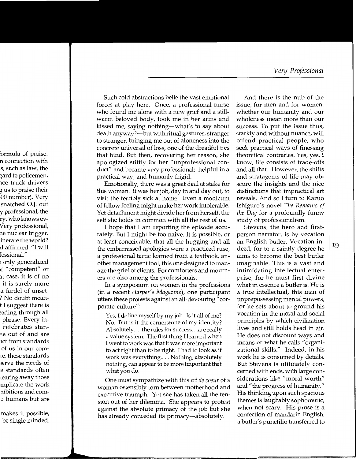Such cold abstractions belie the vast emotional forces at play here. Once, a professional nurse who found me alone with a new grief and a stillwarm beloved body, took me in her arms and kissed me, saying nothing-what's to say about death anyway?—but with ritual gestures, stranger to stranger, bringing me out of aloneness into the concrete universal of loss, one of the dreadful ties that bind. But then, recovering her reason, she apologized stiffly for her "unprofessional conduct" and became very professional: helpful in a practical way, and humanly frigid.

Emotionally, there was a great deal at stake for this woman. It was her job, day in and day out, to visit the terribly sick at home. Even a modicum of fellow feeling might make her work intolerable. Yet detachment might divide her from herself, the self she holds in common with all the rest of us.

I hope that I am reporting the episode accurately. But I might be too naive. It is possible, or at least conceivable, that all the hugging and all the embarrassed apologies were a practiced ruse, a professional tactic learned from a textbook, another management tool, this one designed to manage the grief of clients. For comforters and mourners are also among the professionals.

In a symposium on women in the professions (in a recent *Harper's Magazine),* one participant utters these protests against an all-devouring" corporate culture":

Yes, I define myself by my job. Is it all of me? No. But is it the cornerstone of my identity? Absolutely .... the rules for success ... are really a value system. The first thing I learned when I went to work was that it was more important to act right than to be right. I had to look as if work was everything .... Nothing, absolutely nothing, can appear to be more important that what you do.

One must sympathize with this *cri de coeur* of a woman ostensibly torn between motherhood and executive triumph. Yet she has taken all the tension out of her dilemma. She appears to protest against the absolute primacy of the job but she has already conceded its primacy—absolutely.

And there is the nub of the issue, for men and for women: whether our humanity and our wholeness mean more than our success. To put the issue thus, starkly and without nuance, will offend practical people, who seek practical ways of finessing theoretical contraries. Yes, yes, I know, life consists of trade-offs and all that. However, the shifts and stratagems of life may obscure the insights and the nice distinctions that impractical art reveals. And so I turn to Kazuo Ishiguro' s novel *The Remains of the Day* for a profoundly funny study of professionalism.

Stevens, the hero and firstperson narrator, is by vocation an English butler. Vocation in- $\frac{19}{19}$  deed, for to a saintly degree he  $\frac{19}{19}$ aims to become the best butler imaginable. This is a vast and intimidating intellectual enterprise, for he must first divine what in essence a butler is. He is a true intellectual, this man of unprepossessing mental powers, for he sets about to ground his vocation in the moral and social principles by which civilization lives and still holds head in air. He does not discount ways and means or what he calls "organizational skills." Indeed, in his work he is consumed by details. But Stevens is ultimately concerned with ends, with large considerations like "moral worth" and "the progress of humanity." His thinking upon such spacious themes is laughably sophomoric, when not scary. His prose is a confection of mandarin English, a butler's punctilio transferred to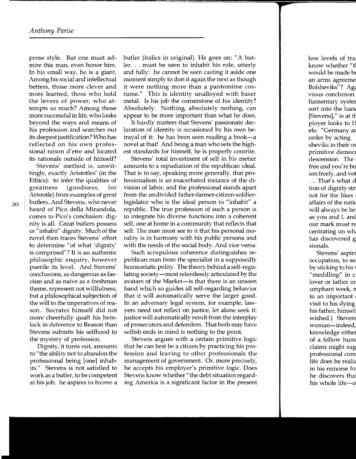prose style. But one must admire this man, even honor him. In his small way, he is a giant. Among his social and intellectual betters, those more clever and more learned, those who hold the levers of power, who attempts so much? Among those more successful in life, who looks beyond the ways and means of his profession and searches out its deepest justification? Who has reflected on his own professional raison d'etre and located its rationale outside of himself?

Stevens' method is, unwittingly, exactly Aristotles' (in the Ethics): to infer the qualities of greatness (goodness, for Aristotle) from examples of great butlers. And Stevens, who never heard of Pico della Mirandola, comes to Pico's conclusion: dignity is all. Great butlers possess or "inhabit" dignity. Much of the novel then traces Stevens' effort to determine "of what 'dignity' is comprised"? It is an authentic philosophic enquiry, however puerile its level. And Stevens' conclusions, as dangerous as fascism and as naive as a freshman theme, represent not willfulness, but a philosophical subjection of the will to the imperatives of reason. Socrates himself did not more cheerfully quaff his hemlock in deference to Reason than Stevens submits his selfhood to the mystery of profession.

Dignity, it turns out, amounts to" the ability not to abandon the professional being [one] inhabits." Stevens is not satisfied to work as a butler, to be competent at his job; he aspires to *become* a butler (italics in original). He goes on: "A butler. . . must be seen to inhabit his role, utterly and fully: he cannot be seen casting it aside one moment simply to don it again the next as though it were nothing more than a pantomime costume." This is identity unalloyed with baser metal. Is his job the cornerstone of his identity? Absolutely. Nothing, absolutely nothing, can appear to be more important than what he does.

It hardly matters that Stevens' passionate declaration of identity is occasioned by his own betrayal of it: he has been seen reading a book-a novel at that! And being a man who sets the highest standards for himself, he is properly contrite.

Stevens' total investment of self in his metier amounts to a repudiation of the republican ideal. That is to say, speaking more generally, that professionalism is an exacerbated instance of the division of labor, and the professional stands apart from the undivided father-farmer-citizen-soldierlegislator who is the ideal person to "inhabit" a republic. The true profession of such a person is to integrate his diverse functions into a coherent self, one at home in a community that reflects that self. The man must see to it that his personal morality is in harmony with his public persona and with the needs of the social body. And vice versa.

Such scrupulous coherence distinguishes republican man from the specialist in a supposedly homeostatic polity. The theory behind a self-regulating society—most relentlessly articulated by the avatars of the Market-is that there is an unseen hand which so guides all self-regarding behavior that it will automatically serve the larger good. In an adversary legal system, for example, lawyers need not reflect on justice, let alone seek it: justice will automatically result from the interplay of prosecutors and defenders. That both may have selfish ends in mind is nothing to the point.

Stevens argues with a certain primitive logic that he can best be a citizen by practicing his profession and leaving to other professionals the management of government. Or, more precisely, he accepts his employer's primitive logic. Does Stevens know whether "the debt situation regarding America is a significant factor in the present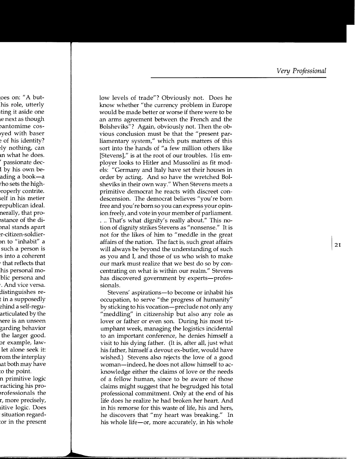low levels of trade"? Obviously not. Does he know whether "the currency problem in Europe would be made better or worse if there were to be an arms agreement between the French and the Bolsheviks"? Again, obviously not. Then the obvious conclusion must be that the "present parliamentary system," which puts matters of this sort into the hands of "a few million others like [Stevens]," is at the root of our troubles. His employer looks to Hitler and Mussolini as fit models: "Germany and Italy have set their houses in order by acting. And so have the wretched Bolsheviks in their own way." When Stevens meets a primitive democrat he reacts with discreet condescension. The democrat believes "you're born free and you're born so you can express your opinion freely, and vote in your member of parliament. ... That's what dignity's really about." This notion of dignity strikes Stevens as "nonsense." It is not for the likes of him to "meddle in the great affairs of the nation. The fact is, such great affairs will always be beyond the understanding of such as you and I, and those of us who wish to make our mark must realize that we best do so by concentrating on what is within our realm." Stevens has discovered government by experts-professionals.

Stevens' aspirations—to become or inhabit his occupation, to serve "the progress of humanity" by sticking to his vocation-preclude not only any "meddling" in citizenship but also any role as lover or father or even son. During his most triumphant week, managing the logistics incidental to an important conference, he denies himself a visit to his dying father. (It is, after all, just what his father, himself a devout ex-butler, would have wished.) Stevens also rejects the love of a good woman-indeed, he does not allow himself to acknowledge either the claims of love or the needs of a fellow human, since to be aware of those claims might suggest that he begrudged his total professional commitment. Only at the end of his life does he realize he had broken her heart. And in his remorse for this waste of life, his and hers, he discovers that "my heart was breaking." In his whole life-or, more accurately, in his whole

21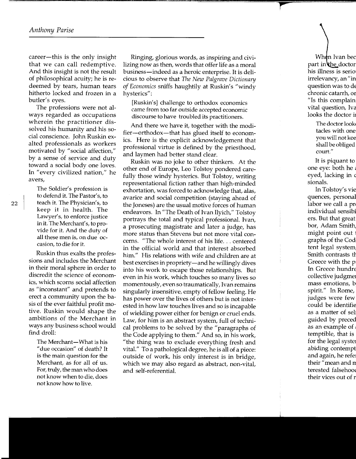career-this is the only insight that we can call redemptive. And this insight is not the result of philosophical acuity; he is redeemed by tears, human tears hitherto locked and frozen in a butler's eyes.

The professions were not always regarded as occupations wherein the practitioner dissolved his humanity and his social conscience. John Ruskin exalted professionals as workers motivated by "social affection," by a sense of service and duty toward a social body one loves. In "every civilized nation," he avers,

The Soldier's profession is to defend it. The Pastor's, to teach it. The Physician's, to keep it in health. The Lawyer's, to enforce justice in it. The Merchant's, to provide for it. And the duty of all these men is, on due occasion, to die for it.

Ruskin thus exalts the professions and includes the Merchant in their moral sphere in order to discredit the science of economics, which scorns social affection as "inconstant" and pretends to erect a community upon the basis of the ever faithful profit motive. Ruskin would shape the ambitions of the Merchant in ways any business school would find droll:

The Merchant-What is his "due occasion" of death? It is the main question for the Merchant, as for all of us. For, truly, the man who does not know when to die, does not know how to live.

Ringing, glorious words, as inspiring and civilizing now as then, words that offer life as a moral business-indeed as a heroic enterprise. It is delicious to observe that *The New Palgrave Dictionary of Economics* sniffs haughtily at Ruskin's "windy hysterics":

[Ruskin's] challenge to orthodox economics came from too far outside accepted economic discourse to have troubled its practitioners.

And there we have it, together with the modifier-orthodox-that has glued itself to economics. Here is the explicit acknowledgement that professional virtue is defined by the priesthood, and laymen had better stand clear.

Ruskin was no joke to other thinkers. At the other end of Europe, Leo Tolstoy pondered carefully those windy hysterics. But Tolstoy, writing representational fiction rather than high-minded exhortation, was forced to acknowledge that, alas, avarice and social competition (staying ahead of the Joneses) are the usual motive forces of human endeavors. In "The Death of Ivan Ilyich," Tolstoy portrays the total and typical professional. Ivan, a prosecuting magistrate and later a judge, has more status than Stevens but not more vital concerns. "The whole interest of his life... centered in the official world and that interest absorbed him." His relations with wife and children are at best exercises in propriety—and he willingly dives into his work to escape those relationships. But even in his work, which touches so many lives so momentously, even so traumatically, Ivan remains singularly insensitive, empty of fellow feeling. He has power over the lives of others but is not interested in how law touches lives and so is incapable of wielding power either for benign or cruel ends. Law, for him is an abstract system, full of technical problems to be solved by the "paragraphs of the Code applying to them." And so, in his work, "the thing was to exclude everything fresh and vital." To a pathological degree, he is all of a piece: outside of work, his only interest is in bridge, which we may also regard as abstract, non-vital, and self-referential.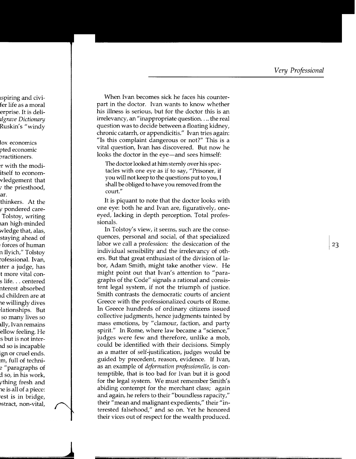When Ivan becomes sick he faces his counterpart in the doctor. Ivan wants to know whether his illness is serious, but for the doctor this is an irrelevancy, an "inappropriate question... the real question was to decide between a floating kidney, chronic catarrh, or appendicitis." Ivan tries again: "Is this complaint dangerous or not?" This is a vital question, Ivan has discovered. But now he looks the doctor in the eye—and sees himself:

The doctor looked at him sternly over his spectacles with one eye as if to say, "Prisoner, if you will not keep to the questions put to you, I shall be obliged to have you removed from the court."

It is piquant to note that the doctor looks with one eye: both he and Ivan are, figuratively, oneeyed, lacking in depth perception. Total professionals.

In Tolstoy's view, it seems, such are the consequences, personal and social, of that specialized labor we call a profession: the desiccation of the individual sensibility and the irrelevancy of others. But that great enthusiast of the division of labor, Adam Smith, might take another view. He might point out that Ivan's attention to "paragraphs of the Code" signals a rational and consistent legal system, if not the triumph of justice. Smith contrasts the democratic courts of ancient Greece with the professionalized courts of Rome. In Greece hundreds of ordinary citizens issued collective judgments, hence judgments tainted by mass emotions, by "clamour, faction, and party spirit." In Rome, where law became a "science," judges were few and therefore, unlike a mob, could be identified with their decisions. Simply as a matter of self-justification, judges would be guided by precedent, reason, evidence. If Ivan, as an example of *deformation professionelle*, is contemptible, that is too bad for Ivan but it is good for the legal system. We must remember Smith's abiding contempt for the merchant class; again and again, he refers to their "boundless rapacity," their "mean and malignant expedients," their "interested falsehood," and so on. Yet he honored their vices out of respect for the wealth produced.

23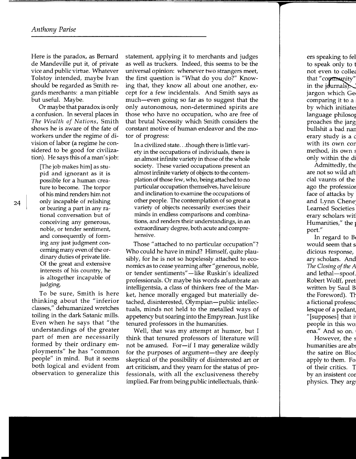Here is the paradox, as Bernard de Mandeville put it, of private vice and public virtue. Whatever Tolstoy intended, maybe Ivan should be regarded as Smith regards merchants: a man pitiable but useful. Maybe.

Or maybe that paradox is only a confusion. In several places in *The Wealth of Nations,* Smith shows he is aware of the fate of workers under the regime of division of labor (a regime he considered to be good for civilization). He says this of a man's job:

[The job makes him] as stupid and ignorant as it is possible for a human creature to become. The torpor of his mind renders him not only incapable of relishing or bearing a part in any rational conversation but of conceiving any generous, noble, or tender sentiment, and consequently of forming any just judgment concerning many even of the ordinary duties of private life. Of the great and extensive interests of his country, he is altogether incapable of judging.

To be sure, Smith is here thinking about the "inferior classes," dehumanized wretches toiling in the dark Satanic mills. Even when he says that "the understandings of the greater part of men are necessarily formed by their ordinary employments" he has "common people" in mind. But it seems both logical and evident from observation to generalize this

statement, applying it to merchants and judges as well as truckers. Indeed, this seems to be the universal opinion: whenever two strangers meet, the first question is "What do you do?" Knowing that, they know all about one another, except for a few incidentals. And Smith says as much-even going so far as to suggest that the only autonomous, non-determined spirits are those who have no occupation, who are free of that brutal Necessity which Smith considers the constant motive of human endeavor and the motor of progress:

In a civilized state ... though there is little variety in the occupations of individuals, there is an almost infinite variety in those of the whole society. These varied occupations present an almost infinite variety of objects to the contemplation of those few, who, being attached to no particular occupation themselves, have leisure and inclination to examine the occupations of other people. The contemplation of so great a variety of objects necessarily exercises their minds in endless comparisons and combinations, and renders their understandings, in an extraordinary degree, both acute and comprehensive.

Those "attached to no particular occupation"? Who could he have in mind? Himself, quite plausibly, for he is not so hopelessly attached to economics as to cease yearning after" generous, noble, or tender sentiments"-like Ruskin's idealized professionals. Or maybe his words adumbrate an intelligentsia, a class of thinkers free of the Market, hence morally engaged but materially detached, disinterested, Olympian-public intellectuals, minds not held to the metalled ways of appetency but soaring into the Empyrean. Just like tenured professors in the humanities.

Well, that was my attempt at humor, but I think that tenured professors of literature will not be amused. For-if I may generalize wildly for the purposes of argument-they are deeply skeptical of the possibility of disinterested art or art criticism, and they yearn for the status of professionals, with all the exclusiveness thereby implied. Far from being public intellectuals, think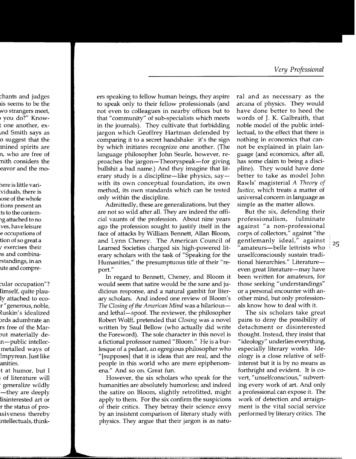ers speaking to fellow human beings, they aspire to speak only to their fellow professionals (and not even to colleagues in nearby offices but to that "community" of sub-specialists which meets in the journals). They cultivate that forbidding jargon which Geoffrey Hartman defended by comparing it to a secret handshake: it's the sign by which initiates recognize one another. (The language philosopher John Searle, however, reproaches the jargon—Theoryspeak—for giving bullshit a bad name.) And they imagine that literary study is a discipline-like physics, saywith its own conceptual foundation, its own method, its own standards which can be tested only within the discipline.

Admittedly, these are generalizations, but they are not so wild after all. They are indeed the official vaunts of the profession. About nine years ago the profession sought to justify itself in the face of attacks by William Bennett, Allan Bloom, and Lynn Cheney. The American Council of Learned Societies charged six high-powered literary scholars with the task of "Speaking for the Humanities," the presumptuous title of their "report."

In regard to Bennett, Cheney, and Bloom it would seem that satire would be the sane and judicious response, and a natural gambit for literary scholars. And indeed one review of Bloom's The Closing of the American Mind was a hilarious and lethal—spoof. The reviewer, the philosopher Robert Wolff, pretended that Closing was a novel written by Saul Bellow (who actually did write the Foreword). The sole character in this novel is a fictional professor named "Bloom." He is a burlesque of a pedant, an egregious philosopher who "[supposes] that it is ideas that are real, and the people in this world who are mere epiphenomena." And so on. Great fun.

However, the six scholars who speak for the humanities are absolutely humorless; and indeed the satire on Bloom, slightly retrofitted, might apply to them. For the six confirm the suspicions of their critics. They betray their science envy by an insistent comparison of literary study with physics. They argue that their jargon is as natural and as necessary as the arcana of physics. They would have done better to heed the words of J. K. Galbraith, that noble model of the public intellectual, to the effect that there is nothing in economics that cannot be explained in plain language (and economics, after all, has some claim to being a discipline). They would have done better to take as model John Rawls' magisterial A Theory of *Justice*, which treats a matter of universal concern in language as simple as the matter allows.

But the six, defending their professionalism, fulminate against "a non-professional corps of collectors," against "the gentlemanly ideal," against amateurs-belle lettrists who unselfconsciously sustain traditional hierarchies." Literatureeven great literature—may have been written for amateurs, for those seeking "understandings" or a personal encounter with another mind, but only professionals know how to deal with it.

The six scholars take great pains to deny the possibility of detachment or disinterested thought. Instead, they insist that "ideology" underlies everything, especially literary works. Ideology is a close relative of selfinterest but it is by no means as forthright and evident. It is covert, "unselfconscious," subverting every work of art. And only a professional can expose it. The work of detection and arraignment is the vital social service performed by literary critics. The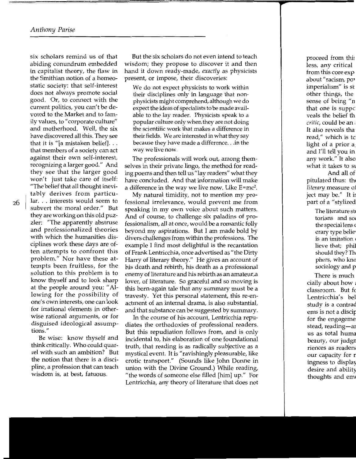six scholars remind us of that abiding conundrum embedded in capitalist theory, the flaw in the Smithian notion of a homeostatic society: that self-interest does not always promote social good. Or, to connect with the current politics, you can't be devoted to the Market and to family values, to "corporate culture" and motherhood. Well, the six have discovered all this. They see that it is "[a mistaken belief].  $\ldots$ that members of a society can act against their own self-interest, recognizing a larger good." And they see that the larger good won't just take care of itself: "The belief that all thought inevitably derives from particular. . . interests would seem to subvert the moral order." But they are working on this old puzzler: "The apparently abstruse and professionalized theories with which the humanities disciplines work these days are often attempts to confront this problem." Nor have these attempts been fruitless, for the solution to this problem is to know thyself and to look sharp at the people around you: "Allowing for the possibility of one's own interests, one can look for irrational elements in otherwise rational arguments, or for disguised ideological assumptions."

Be wise: know thyself and think critically. Who could quarrel with such an ambition? But the notion that there is a discipline, a profession that can teach wisdom is, at best, fatuous.

But the six scholars do not even intend to teach wisdom; they propose to discover it and then hand it down ready-made, *exactly* as physicists present, or impose, their discoveries:

We do not expect physicists to work within their disciplines only in language that nonphysicists might comprehend, although we do expect the ideas of specialists to be made available to the lay reader. Physicists speak to a popular culture only when they are not doing the scientific work that makes a difference in their fields. We are interested in what they say because they have made a difference .. .in the way we live now.

The professionals will work out, among themselves in their private lingo, the method for reading poems and then tell us "lay readers" what they have concluded. And that information will make a difference in the way we live now. Like  $E=mc^2$ .

My natural timidity, not to mention my professional irrelevance, would prevent me from speaking in my own voice about such matters. And of course, to challenge six paladins of professionalism, all at once, would be a romantic folly beyond my aspirations. But I am made bold by divers challenges from within the professions. The example I find most delightful is the recantation of Frank Lentricchia, once advertised as" the Dirty Harry of literary theory." He gives an account of his death and rebirth, his death as a professional enemy of literature and his rebirth as an amateur,a lover, of literature. So graceful and so moving is this born-again tale that any summary must be a travesty. Yet this personal statement, this re-enactment of an internal drama, is also substantial, and that substance can be suggested by summary.

In the course of his account, Lentricchia repudiates the orthodoxies of professional readers. But this repudiation follows from, and is only incidental to, his elaboration of one foundational truth, that reading is as radically subjective as a mystical event. It is "ravishingly pleasurable, like erotic transport." (Sounds like John Donne in union with the Divine Ground.) While reading, "the words of someone else filled [him] up." For Lentricchia, any theory of literature that does not